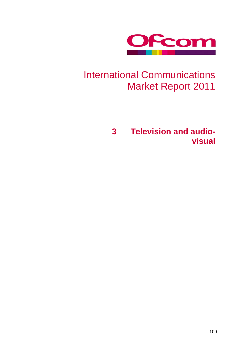

# International Communications Market Report 2011

**3 Television and audiovisual**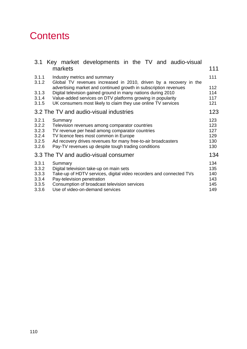## **Contents**

| markets                                                                                                                                                                                                                                                                                     | 111                                                                                                                                                                                         |  |  |  |  |  |  |  |  |
|---------------------------------------------------------------------------------------------------------------------------------------------------------------------------------------------------------------------------------------------------------------------------------------------|---------------------------------------------------------------------------------------------------------------------------------------------------------------------------------------------|--|--|--|--|--|--|--|--|
| Industry metrics and summary<br>Global TV revenues increased in 2010, driven by a recovery in the                                                                                                                                                                                           | 111                                                                                                                                                                                         |  |  |  |  |  |  |  |  |
| advertising market and continued growth in subscription revenues<br>3.1.3<br>Digital television gained ground in many nations during 2010<br>Value-added services on DTV platforms growing in popularity<br>3.1.4<br>UK consumers most likely to claim they use online TV services<br>3.1.5 |                                                                                                                                                                                             |  |  |  |  |  |  |  |  |
|                                                                                                                                                                                                                                                                                             | 123                                                                                                                                                                                         |  |  |  |  |  |  |  |  |
| 3.2.1<br>Summary<br>3.2.2<br>Television revenues among comparator countries<br>TV revenue per head among comparator countries<br>3.2.3<br>TV licence fees most common in Europe<br>3.2.4<br>Ad recovery drives revenues for many free-to-air broadcasters<br>3.2.5<br>3.2.6                 |                                                                                                                                                                                             |  |  |  |  |  |  |  |  |
|                                                                                                                                                                                                                                                                                             | 134                                                                                                                                                                                         |  |  |  |  |  |  |  |  |
| Summary<br>Digital television take-up on main sets<br>Take-up of HDTV services, digital video recorders and connected TVs<br>Pay-television penetration<br>Consumption of broadcast television services<br>Use of video-on-demand services                                                  | 134<br>135<br>140<br>143<br>145<br>149                                                                                                                                                      |  |  |  |  |  |  |  |  |
| 3.3.3<br>3.3.5                                                                                                                                                                                                                                                                              | Key market developments in the TV and audio-visual<br>3.2 The TV and audio-visual industries<br>Pay-TV revenues up despite tough trading conditions<br>3.3 The TV and audio-visual consumer |  |  |  |  |  |  |  |  |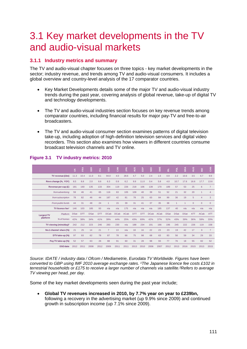## <span id="page-2-0"></span>3.1 Key market developments in the TV and audio-visual markets

## <span id="page-2-1"></span>**3.1.1 Industry metrics and summary**

The TV and audio-visual chapter focuses on three topics - key market developments in the sector; industry revenue, and trends among TV and audio-visual consumers. It includes a global overview and country-level analysis of the 17 comparator countries.

- Key Market Developments details some of the major TV and audio-visual industry trends during the past year, covering analysis of global revenue, take-up of digital TV and technology developments.
- The TV and audio-visual industries section focuses on key revenue trends among comparator countries, including financial results for major pay-TV and free-to-air broadcasters.
- The TV and audio-visual consumer section examines patterns of digital television take-up, including adoption of high-definition television services and digital video recorders. This section also examines how viewers in different countries consume broadcast television channels and TV online.

|                                                                                                                                                                                                                                                                                                                                                                                                                      |                             | $\leq$      | FRA        | <b>GER</b>  | Е    | USA            | <b>MO</b>   | $\frac{z}{2}$ | AUS  | <b>B</b> | $\frac{\Omega}{Z}$ | SWE  | 힡           | 힏              | BRA            | RUS          | $\frac{1}{2}$  | $rac{z}{c}$    |
|----------------------------------------------------------------------------------------------------------------------------------------------------------------------------------------------------------------------------------------------------------------------------------------------------------------------------------------------------------------------------------------------------------------------|-----------------------------|-------------|------------|-------------|------|----------------|-------------|---------------|------|----------|--------------------|------|-------------|----------------|----------------|--------------|----------------|----------------|
| TV revenue (£bn)                                                                                                                                                                                                                                                                                                                                                                                                     |                             | 11.3        | 10.4       | 11.0        | 8.1  | 94.0           | 4.0         | 28.6          | 4.7  | 5.0      | 2.4                | 1.5  | 0.9         | 2.2            | 10.6           | 3.5          | 6.7            | 9.9            |
| Revs change (%, YOY)                                                                                                                                                                                                                                                                                                                                                                                                 |                             | 8.5         | 8.8        | 2.0         | 6.6  | 6.3            | 0.9         | 6.2           | 9.9  | 11.0     | 0.4                | 5.8  | 4.0         | 10.7           | 17.6           | 16.6         | 17.7           | 13.6           |
| Revenue per cap (£)                                                                                                                                                                                                                                                                                                                                                                                                  |                             | 181         | 160        | 135         | 133  | 304            | 119         | 226           | 218  | 106      | 139                | 170  | 189         | 57             | 53             | 25           | 6              | $\overline{7}$ |
|                                                                                                                                                                                                                                                                                                                                                                                                                      | from advertising            | 59          | 46         | 41          | 65   | 116            | 63          | 105           | 109  | 40       | 39                 | 51   | 52          | 21             | 32             | 20           | $\mathbf{1}$   | 4              |
| from subscription                                                                                                                                                                                                                                                                                                                                                                                                    |                             | 78          | 82         | 46          | 44   | 187            | 42          | 81            | 78   | 25       | 63                 | 84   | 99          | 36             | 19             | 5            | $\overline{4}$ | 3              |
| From public funds                                                                                                                                                                                                                                                                                                                                                                                                    |                             | 44          | 31         | 48          | 24   | $\mathbf{1}$   | 15          | 39            | 31   | 41       | 37                 | 35   | 38          | $\overline{1}$ | $\overline{1}$ | $\mathbf{0}$ | $\mathbf{0}$   | $\mathbf{0}$   |
|                                                                                                                                                                                                                                                                                                                                                                                                                      | TV licence fee <sup>1</sup> | 146         | 103        | 185         | 93   | n/a            | n/a         | 175           | n/a  | n/a      | n/a                | 185  | 137         | 40             | n/a            | n/a          | n/a            | n/a            |
| <b>Largest TV</b>                                                                                                                                                                                                                                                                                                                                                                                                    | Platform                    | <b>DSat</b> | <b>DTT</b> | <b>DSat</b> | DTT  | <b>DCab</b>    | <b>DCab</b> | <b>ACab</b>   | DTT  | DTT      | <b>DCab</b>        | ACab | <b>DSat</b> | <b>DSat</b>    | <b>DSat</b>    | <b>ATT</b>   | ACab           | <b>ATT</b>     |
| platform                                                                                                                                                                                                                                                                                                                                                                                                             | % of homes                  | 42%         | 38%        | 34%         | 41%  | 39%            | 44%         | 25%           | 43%  | 69%      | 42%                | 37%  | 52%         | 43%            | 39%            | 36%          | 59%            | 33%            |
| TV viewing (mins/day) <sup>2</sup>                                                                                                                                                                                                                                                                                                                                                                                   |                             | 242         | 212        | 223         | 246  | 283            | 230         | n/a           | 188  | 234      | 191                | 166  | 196         | 245            | 222            | 226          | 119            | 158            |
| No.1 channel share (%)                                                                                                                                                                                                                                                                                                                                                                                               |                             | 21          | 25         | 14          | 21   | $\overline{7}$ | 13          | n/a           | 18   | 16       | 22                 | 23   | 23          | 19             | 42             | 17           | 9              | $\overline{7}$ |
|                                                                                                                                                                                                                                                                                                                                                                                                                      | DTV take-up (%)             | 97          | 93         | 62          | 78   | 87             | 78          | 66            | 75   | 98       | 68                 | 63   | 83          | 56             | 59             | 34           | 29             | 33             |
| Pay TV take-up (%)                                                                                                                                                                                                                                                                                                                                                                                                   |                             | 52          | 57         | 63          | 26   | 88             | 91          | 60            | 31   | 28       | 98                 | 93   | 77          | 76             | 18             | 55           | 82             | 52             |
|                                                                                                                                                                                                                                                                                                                                                                                                                      | <b>DSO</b> date             | 2012        | 2011       | 2008        | 2012 | 2009           | 2011        | 2011          | 2013 | 2010     | 2006               | 2007 | 2012        | 2013           | 2016           | 2015         | 2013           | 2015           |
| Source: IDATE / industry data / Ofcom / Mediametrie, Eurodata TV Worldwide. Figures have been<br>converted to GBP using IMF 2010 average exchange rates. 1The Japanese licence fee costs £102 in<br>errestrial households or £175 to receive a larger number of channels via satellite.?Refers to average<br>TV viewing per head, per day.<br>Some of the key market developments seen during the past year include; |                             |             |            |             |      |                |             |               |      |          |                    |      |             |                |                |              |                |                |
| Global TV revenues increased in 2010, by 7.7% year on year to £239bn,<br>following a recovery in the advertising market (up 9.9% since 2009) and continued<br>growth in subscription income (up 7.1% since 2009).                                                                                                                                                                                                    |                             |             |            |             |      |                |             |               |      |          |                    |      |             |                |                |              |                |                |

## **Figure 3.1 TV industry metrics: 2010**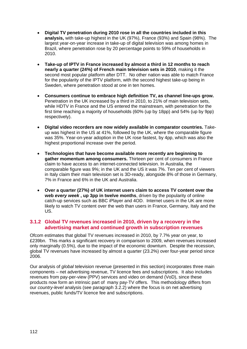- **Digital TV penetration during 2010 rose in all the countries included in this analysis,** with take-up highest in the UK (97%), France (93%) and Spain (98%). The largest year-on-year increase in take-up of digital television was among homes in Brazil, where penetration rose by 20 percentage points to 59% of households in 2010.
- **Take-up of IPTV in France increased by almost a third in 12 months to reach nearly a quarter (24%) of French main television sets in 2010**, making it the second most popular platform after DTT. No other nation was able to match France for the popularity of the IPTV platform, with the second highest take-up being in Sweden, where penetration stood at one in ten homes.
- **Consumers continue to embrace high definition TV, as channel line-ups grow.**  Penetration in the UK increased by a third in 2010, to 21% of main television sets, while HDTV in France and the US entered the mainstream, with penetration for the first time reaching a majority of households (60% (up by 18pp) and 54% (up by 9pp) respectively).
- **Digital video recorders are now widely available in comparator countries.** Takeup was highest in the US at 41%, followed by the UK, where the comparable figure was 35%. Year-on-year adoption in the UK rose fastest, by 4pp, which was also the highest proportional increase over the period.
- **Technologies that have become available more recently are beginning to gather momentum among consumers.** Thirteen per cent of consumers in France claim to have access to an internet-connected television. In Australia, the comparable figure was 9%; in the UK and the US it was 7%. Ten per cent of viewers in Italy claim their main television set is 3D-ready, alongside 8% of those in Germany, 7% in France and 6% in the UK and Australia.
- **Over a quarter (27%) of UK internet users claim to access TV content over the web** *every week* **, up 3pp in twelve months**, driven by the popularity of online catch-up services such as BBC iPlayer and 4OD. Internet users in the UK are more likely to watch TV content over the web than users in France, Germany, Italy and the US.

#### <span id="page-3-0"></span>**3.1.2 Global TV revenues increased in 2010, driven by a recovery in the advertising market and continued growth in subscription revenues**

Ofcom estimates that global TV revenues increased in 2010, by 7.7% year on year, to £239bn. This marks a significant recovery in comparison to 2009, when revenues increased only marginally (0.5%), due to the impact of the economic downturn. Despite the recession, global TV revenues have increased by almost a quarter (23.2%) over four-year period since 2006.

Our analysis of *global* television revenue (presented in this section) incorporates three main components – net advertising revenue, TV licence fees and subscriptions. It also includes revenues from pay-per-view (PPV) services and video on demand (VoD), since these products now form an intrinsic part of many pay-TV offers. This methodology differs from our *country-level* analysis (see paragraph [3.2.2\)](#page-14-2) where the focus is on net advertising revenues, public funds/TV licence fee and subscriptions.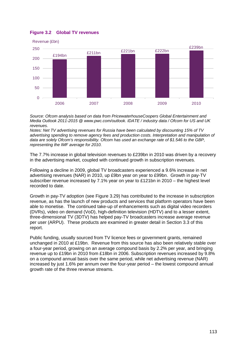#### <span id="page-4-0"></span>**Figure 3.2 Global TV revenues**



*Source: Ofcom analysis based on data from PricewaterhouseCoopers Global Entertainment and Media Outlook 2011-2015 @ www.pwc.com/outlook. IDATE / industry data / Ofcom for US and UK revenues.* 

*Notes: Net TV advertising revenues for Russia have been calculated by discounting 15% of TV advertising spending to remove agency fees and production costs. Interpretation and manipulation of data are solely Ofcom's responsibility. Ofcom has used an exchange rate of \$1.546 to the GBP, representing the IMF average for 2010.*

The 7.7% increase in global television revenues to £239bn in 2010 was driven by a recovery in the advertising market, coupled with continued growth in subscription revenues.

Following a decline in 2009, global TV broadcasters experienced a 9.6% increase in net advertising revenues (NAR) in 2010, up £9bn year on year to £99bn. Growth in pay-TV subscriber revenue increased by 7.1% year on year to £121bn in 2010 – the highest level recorded to date.

Growth in pay-TV adoption (see [Figure 3.29\)](#page-30-0) has contributed to the increase in subscription revenue, as has the launch of new products and services that platform operators have been able to monetise. The continued take-up of enhancements such as digital video recorders (DVRs), video on demand (VoD), high-definition television (HDTV) and to a lesser extent, three-dimensional TV (3DTV) has helped pay-TV broadcasters increase average revenue per user (ARPU). These products are examined in greater detail in Section [3.3](#page-25-0) of this report.

Public funding, usually sourced from TV licence fees or government grants, remained unchanged in 2010 at £19bn. Revenue from this source has also been relatively stable over a four-year period, growing on an average compound basis by 2.2% per year, and bringing revenue up to £19bn in 2010 from £18bn in 2006. Subscription revenues increased by 9.8% on a compound annual basis over the same period, while net advertising revenue (NAR) increased by just 1.6% per annum over the four-year period – the lowest compound annual growth rate of the three revenue streams.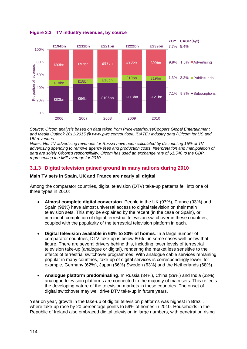

**Figure 3.3 TV industry revenues, by source**

*Source: Ofcom analysis based on data taken from PricewaterhouseCoopers Global Entertainment and Media Outlook 2011-2015 @ www.pwc.com/outlook. IDATE / industry data / Ofcom for US and UK revenues.* 

*Notes: Net TV advertising revenues for Russia have been calculated by discounting 15% of TV advertising spending to remove agency fees and production costs. Interpretation and manipulation of data are solely Ofcom's responsibility. Ofcom has used an exchange rate of \$1.546 to the GBP, representing the IMF average for 2010.* 

## <span id="page-5-0"></span>**3.1.3 Digital television gained ground in many nations during 2010**

#### **Main TV sets in Spain, UK and France are nearly all digital**

Among the comparator countries, digital television (DTV) take-up patterns fell into one of three types in 2010:

- **Almost complete digital conversion**. People in the UK (97%), France (93%) and Spain (98%) have almost universal access to digital television on their main television sets. This may be explained by the recent (in the case or Spain), or imminent, completion of digital terrestrial television switchover in these countries, coupled with the popularity of the terrestrial television platform in each.
- **Digital television available in 60% to 80% of homes**. In a large number of comparator countries, DTV take-up is below 80% - in some cases well below that figure. There are several drivers behind this, including lower levels of terrestrial television take-up (analogue or digital), rendering the market less sensitive to the effects of terrestrial switchover programmes. With analogue cable services remaining popular in many countries, take-up of digital services is correspondingly lower; for example, Germany (62%), Japan (66%) Sweden (63%) and the Netherlands (68%).
- **Analogue platform predominating**. In Russia (34%), China (29%) and India (33%), analogue television platforms are connected to the majority of main sets. This reflects the developing nature of the television markets in these countries. The onset of digital switchover may well drive DTV take-up in future years.

Year on year, growth in the take-up of digital television platforms was highest in Brazil, where take-up rose by 20 percentage points to 59% of homes in 2010. Households in the Republic of Ireland also embraced digital television in large numbers, with penetration rising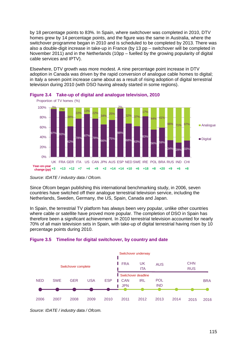by 18 percentage points to 83%. In Spain, where switchover was completed in 2010, DTV homes grew by 14 percentage points, and the figure was the same in Australia, where the switchover programme began in 2010 and is scheduled to be completed by 2013. There was also a double-digit increase in take-up in France (by 13 pp – switchover will be completed in November 2011) and in the Netherlands (10pp – fuelled by the growing popularity of digital cable services and IPTV).

Elsewhere, DTV growth was more modest. A nine percentage point increase in DTV adoption in Canada was driven by the rapid conversion of analogue cable homes to digital; in Italy a seven point increase came about as a result of rising adoption of digital terrestrial television during 2010 (with DSO having already started in some regions).





Since Ofcom began publishing this international benchmarking study, in 2006, seven countries have switched off their analogue terrestrial television service, including the Netherlands, Sweden, Germany, the US, Spain, Canada and Japan.

In Spain, the terrestrial TV platform has always been very popular, unlike other countries where cable or satellite have proved more popular. The completion of DSO in Spain has therefore been a significant achievement. In 2010 terrestrial television accounted for nearly 70% of all main television sets in Spain, with take-up of digital terrestrial having risen by 10 percentage points during 2010.





*Source: IDATE / industry data / Ofcom.*

*Source: IDATE / industry data / Ofcom.*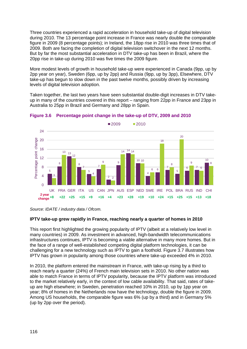Three countries experienced a rapid acceleration in household take-up of digital television during 2010. The 13 percentage point increase in France was nearly double the comparable figure in 2009 (8 percentage points); in Ireland, the 18pp rise in 2010 was three times that of 2009. Both are facing the completion of digital television switchover in the next 12 months. But by far the most substantial acceleration in DTV take-up has been in Brazil, where the 20pp rise in take-up during 2010 was five times the 2009 figure.

More modest levels of growth in household take-up were experienced in Canada (9pp, up by 2pp year on year), Sweden (6pp, up by 2pp) and Russia (9pp, up by 3pp), Elsewhere, DTV take-up has begun to slow down in the past twelve months, possibly driven by increasing levels of digital television adoption.

Taken together, the last two years have seen substantial double-digit increases in DTV takeup in many of the countries covered in this report – ranging from 22pp in France and 23pp in Australia to 25pp in Brazil and Germany and 28pp in Spain.





#### **IPTV take-up grew rapidly in France, reaching nearly a quarter of homes in 2010**

This report first highlighted the growing popularity of IPTV (albeit at a relatively low level in many countries) in 2009. As investment in advanced, high-bandwidth telecommunications infrastructures continues, IPTV is becoming a viable alternative in many more homes. But in the face of a range of well-established competing digital platform technologies, it can be challenging for a new technology such as IPTV to gain a foothold. [Figure 3.7](#page-8-1) illustrates how IPTV has grown in popularity among those countries where take-up exceeded 4% in 2010.

In 2010, the platform entered the mainstream in France, with take-up rising by a third to reach nearly a quarter (24%) of French main television sets in 2010. No other nation was able to match France in terms of IPTV popularity, because the IPTV platform was introduced to the market relatively early, in the context of low cable availability. That said, rates of takeup are high elsewhere; in Sweden, penetration reached 10% in 2010, up by 1pp year on year; 8% of homes in the Netherlands now have the technology, double the figure in 2009. Among US households, the comparable figure was 6% (up by a third) and in Germany 5% (up by 2pp over the period).

*Source: IDATE / industry data / Ofcom.*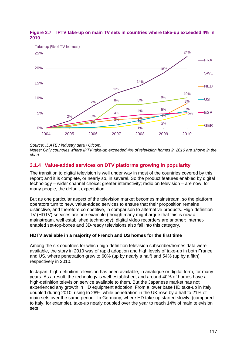

<span id="page-8-1"></span>**Figure 3.7 IPTV take-up on main TV sets in countries where take-up exceeded 4% in 2010**

*Source: IDATE / industry data / Ofcom.* 

*Notes: Only countries where IPTV take-up exceeded 4% of television homes in 2010 are shown in the chart.*

## <span id="page-8-0"></span>**3.1.4 Value-added services on DTV platforms growing in popularity**

The transition to digital television is well under way in most of the countries covered by this report; and it is complete, or nearly so, in several. So the product features enabled by digital technology – wider channel choice; greater interactivity; radio on television – are now, for many people, the default expectation.

But as one particular aspect of the television market becomes mainstream, so the platform operators turn to new, value-added services to ensure that their proposition remains distinctive, and therefore competitive, in comparison to alternative products. High-definition TV (HDTV) services are one example (though many might argue that this is now a mainstream, well established technology); digital video recorders are another; internetenabled set-top-boxes and 3D-ready televisions also fall into this category.

#### **HDTV available in a majority of French and US homes for the first time**

Among the six countries for which high-definition television subscriber/homes data were available, the story in 2010 was of rapid adoption and high levels of take-up in both France and US, where penetration grew to 60% (up by nearly a half) and 54% (up by a fifth) respectively in 2010.

In Japan, high-definition television has been available, in analogue or digital form, for many years. As a result, the technology is well-established, and around 40% of homes have a high-definition television service available to them. But the Japanese market has not experienced any growth in HD equipment adoption. From a lower base HD take-up in Italy doubled during 2010, rising to 28%, while penetration in the UK rose by a half to 21% of main sets over the same period. In Germany, where HD take-up started slowly, (compared to Italy, for example), take-up nearly doubled over the year to reach 14% of main television sets.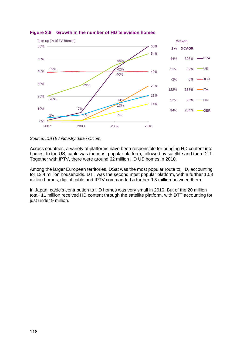

#### **Figure 3.8 Growth in the number of HD television homes**

*Source: IDATE / industry data / Ofcom.*

Across countries, a variety of platforms have been responsible for bringing HD content into homes. In the US, cable was the most popular platform, followed by satellite and then DTT. Together with IPTV, there were around 62 million HD US homes in 2010.

Among the larger European territories, DSat was the most popular route to HD, accounting for 13.4 million households. DTT was the second most popular platform, with a further 10.8 million homes; digital cable and IPTV commanded a further 9.3 million between them.

In Japan, cable's contribution to HD homes was very small in 2010. But of the 20 million total, 11 million received HD content through the satellite platform, with DTT accounting for just under 9 million.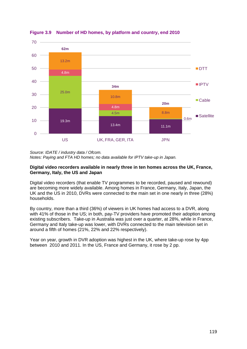

**Figure 3.9 Number of HD homes, by platform and country, end 2010**

*Source: IDATE / industry data / Ofcom.* 

*Notes: Paying and FTA HD homes; no data available for IPTV take-up in Japan.*

#### **Digital video recorders available in nearly three in ten homes across the UK, France, Germany, Italy, the US and Japan**

Digital video recorders (that enable TV programmes to be recorded, paused and rewound) are becoming more widely available. Among homes in France, Germany, Italy, Japan, the UK and the US in 2010, DVRs were connected to the main set in one nearly in three (28%) households.

By country, more than a third (36%) of viewers in UK homes had access to a DVR, along with 41% of those in the US; in both, pay-TV providers have promoted their adoption among existing subscribers. Take-up in Australia was just over a quarter, at 28%, while in France, Germany and Italy take-up was lower, with DVRs connected to the main television set in around a fifth of homes (21%, 22% and 22% respectively).

Year on year, growth in DVR adoption was highest in the UK, where take-up rose by 4pp between 2010 and 2011. In the US, France and Germany, it rose by 2 pp.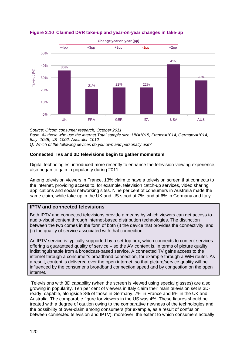

**Figure 3.10 Claimed DVR take-up and year-on-year changes in take-up**

*Source: Ofcom consumer research, October 2011 Base: All those who use the internet.Total sample size: UK=1015, France=1014, Germany=1014, Italy=1045, US=1002, Australia=1012 Q: Which of the following devices do you own and personally use?*

#### **Connected TVs and 3D televisions begin to gather momentum**

Digital technologies, introduced more recently to enhance the television-viewing experience, also began to gain in popularity during 2011.

Among television viewers in France, 13% claim to have a television screen that connects to the internet, providing access to, for example, television catch-up services, video sharing applications and social networking sites. Nine per cent of consumers in Australia made the same claim, while take-up in the UK and US stood at 7%, and at 6% in Germany and Italy

#### **IPTV and connected televisions**

Both IPTV and connected televisions provide a means by which viewers can get access to audio-visual content through internet-based distribution technologies. The distinction between the two comes in the form of both (i) the device that provides the connectivity, and (ii) the quality of service associated with that connection.

An IPTV service is typically supported by a set-top box, which connects to content services offering a guaranteed quality of service – so the AV content is, in terms of picture quality, indistinguishable from a broadcast-based service. A connected TV gains access to the internet through a consumer's broadband connection, for example through a WiFi router. As a result, content is delivered over the open internet, so that picture/service quality will be influenced by the consumer's broadband connection speed and by congestion on the open internet.

Televisions with 3D capability (when the screen is viewed using special glasses) are also growing in popularity. Ten per cent of viewers in Italy claim their main television set is 3Dready -capable, alongside 8% of those in Germany, 7% in France and 6% in the UK and Australia. The comparable figure for viewers in the US was 4%. These figures should be treated with a degree of caution owing to the comparative newness of the technologies and the possibility of over-claim among consumers (for example, as a result of confusion between connected television and IPTV); moreover, the extent to which consumers actually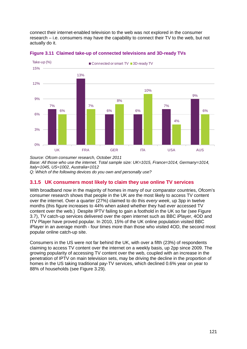connect their internet-enabled television to the web was not explored in the consumer research – i.e. consumers may have the capability to connect their TV to the web, but not actually do it.





*Source: Ofcom consumer research, October 2011 Base: All those who use the internet. Total sample size: UK=1015, France=1014, Germany=1014, Italy=1045, US=1002, Australia=1012 Q: Which of the following devices do you own and personally use?*

## <span id="page-12-0"></span>**3.1.5 UK consumers most likely to claim they use online TV services**

With broadband now in the majority of homes in many of our comparator countries, Ofcom's consumer research shows that people in the UK are the most likely to access TV content over the internet. Over a quarter (27%) claimed to do this *every week*, up 3pp in twelve months (this figure increases to 44% when asked whether they had *ever* accessed TV content over the web.) Despite IPTV failing to gain a foothold in the UK so far (see [Figure](#page-8-1)  [3.7\)](#page-8-1), TV catch-up services delivered over the open internet such as BBC iPlayer, 4OD and ITV Player have proved popular. In 2010, 15% of the UK online population visited BBC iPlayer in an average month - four times more than those who visited 4OD, the second most popular online catch-up site.

Consumers in the US were not far behind the UK, with over a fifth (23%) of respondents claiming to access TV content over the internet on a weekly basis, up 2pp since 2009. The growing popularity of accessing TV content over the web, coupled with an increase in the penetration of IPTV on main television sets, may be driving the decline in the proportion of homes in the US taking traditional pay-TV services, which declined 0.6% year on year to 88% of households (see [Figure 3.29\)](#page-30-0).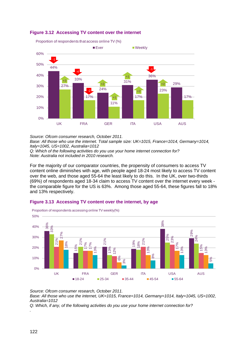

#### **Figure 3.12 Accessing TV content over the internet**

*Source: Ofcom consumer research, October 2011.* 

*Base: All those who use the internet. Total sample size: UK=1015, France=1014, Germany=1014, Italy=1045, US=1002, Australia=1012*

*Q: Which of the following activities do you use your home internet connection for? Note: Australia not included in 2010 research.*

For the majority of our comparator countries, the propensity of consumers to access TV content online diminishes with age, with people aged 18-24 most likely to access TV content over the web, and those aged 55-64 the least likely to do this. In the UK, over two-thirds (69%) of respondents aged 18-34 claim to access TV content over the internet every week the comparable figure for the US is 63%. Among those aged 55-64, these figures fall to 18% and 13% respectively.

## **Figure 3.13 Accessing TV content over the internet, by age**



*Source: Ofcom consumer research, October 2011. Base: All those who use the internet, UK=1015, France=1014, Germany=1014, Italy=1045, US=1002, Australia=1012* 

*Q: Which, if any, of the following activities do you use your home internet connection for?*

*.*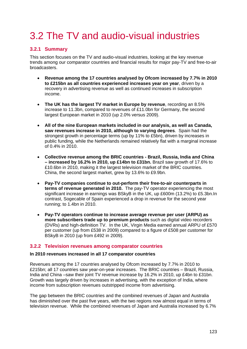# <span id="page-14-0"></span>3.2 The TV and audio-visual industries

## <span id="page-14-1"></span>**3.2.1 Summary**

This section focuses on the TV and audio-visual industries, looking at the key revenue trends among our comparator countries and financial results for major pay-TV and free-to-air broadcasters.

- **Revenue among the 17 countries analysed by Ofcom increased by 7.7% in 2010 to £215bn as all countries experienced increases year on year**, driven by a recovery in advertising revenue as well as continued increases in subscription income.
- **The UK has the largest TV market in Europe by revenue**, recording an 8.5% increase to 11.3bn, compared to revenues of £11.0bn for Germany, the second largest European market in 2010 (up 2.0% versus 2009).
- **All of the nine European markets included in our analysis, as well as Canada, saw revenues increase in 2010, although to varying degrees**. Spain had the strongest growth in percentage terms (up by 11% to £5bn), driven by increases in public funding, while the Netherlands remained relatively flat with a marginal increase of 0.4% in 2010.
- **Collective revenue among the BRIC countries - Brazil, Russia, India and China – increased by 16.2% in 2010, up £14bn to £31bn.** Brazil saw growth of 17.6% to £10.6bn in 2010, making it the largest television market of the BRIC countries. China, the second largest market, grew by 13.6% to £9.9bn.
- **Pay-TV companies continue to out-perform their free-to-air counterparts in terms of revenue generated in 2010.** The pay-TV operator experiencing the most significant increase in earnings was BSkyB in the UK, up £600m (13.2%) to £5.3bn.In contrast, Sogecable of Spain experienced a drop in revenue for the second year running; to 1.4bn in 2010.
- **Pay-TV operators continue to increase average revenue per user (ARPU) as more subscribers trade up to premium products** such as digital video recorders (DVRs) and high-definition TV. In the UK, Virgin Media earned annual ARPU of £570 per customer (up from £538 in 2009) compared to a figure of £508 per customer for BSkyB in 2010 (up from £492 in 2009).

#### <span id="page-14-2"></span>**3.2.2 Television revenues among comparator countries**

#### **In 2010 revenues increased in all 17 comparator countries**

Revenues among the 17 countries analysed by Ofcom increased by 7.7% in 2010 to £215bn; all 17 countries saw year-on-year increases. The BRIC countries – Brazil, Russia, India and China –saw their joint TV revenue increase by 16.2% in 2010, up £4bn to £31bn. Growth was largely driven by increases in advertising, with the exception of India, where income from subscription revenues outstripped income from advertising.

The gap between the BRIC countries and the combined revenues of Japan and Australia has diminished over the past five years, with the two regions now almost equal in terms of television revenue. While the combined revenues of Japan and Australia increased by 6.7%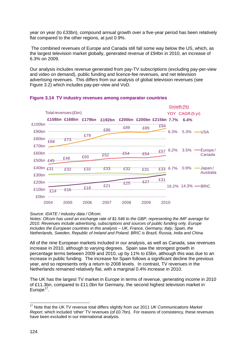year on year (to £33bn), compound annual growth over a five-year period has been relatively flat compared to the other regions, at just 0.9%.

The combined revenues of Europe and Canada still fall some way below the US, which, as the largest television market globally, generated revenue of £94bn in 2010, an increase of 6.3% on 2009.

Our analysis includes revenue generated from pay-TV subscriptions (excluding pay-per-view and video on demand), public funding and licence-fee revenues, and net television advertising revenues. This differs from our analysis of global television revenues (see [Figure 3.2\)](#page-4-0) which includes pay-per-view and VoD.



#### **Figure 3.14 TV industry revenues among comparator countries**

#### *Source: IDATE / industry data / Ofcom.*

*Notes: Ofcom has used an exchange rate of \$1.546 to the GBP, representing the IMF average for 2010. Revenues include advertising, subscriptions and sources of public funding only. Europe includes the European countries in this analysis – UK, France, Germany, Italy, Spain, the Netherlands, Sweden, Republic of Ireland and Poland. BRIC is Brazil, Russia, India and China.* 

All of the nine European markets included in our analysis, as well as Canada, saw revenues increase in 2010, although to varying degrees. Spain saw the strongest growth in percentage terms between 2009 and 2010, up by 11% to £5bn, although this was due to an increase in public funding. The increase for Spain follows a significant decline the previous year, and so represents only a return to 2008 levels. In contrast, TV revenues in the Netherlands remained relatively flat, with a marginal 0.4% increase in 2010.

The UK has the largest TV market in Europe in terms of revenue, generating income in 2010 of £11.3bn, compared to £11.0bn for Germany, the second highest television market in Europe $17$ .

<span id="page-15-0"></span> <sup>17</sup> Note that the UK TV revenue total differs slightly from our 2011 *UK Communications Market Report*, which included 'other' TV revenues (of £0.7bn). For reasons of consistency, these revenues have been excluded in our international analysis.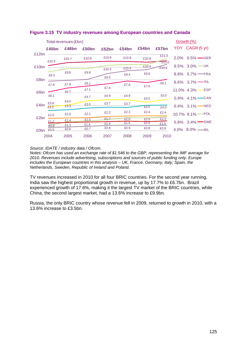|       |              | Total revenues (£bn) |                   |       |       |       |                | <u>Growth (%)</u>             |
|-------|--------------|----------------------|-------------------|-------|-------|-------|----------------|-------------------------------|
|       | £45bn        | £48bn                | £50 <sub>bn</sub> | £52bn | £54bn | £54bn | £57bn          | YOY CAGR (5 yr)               |
| £12bn | £10.3        | £10.7                | £10.8             | £10.9 | £10.9 | £10.8 | £11.3<br>£11.0 | $2.0\%$ 0.5% $-$ GER          |
| £10bn |              |                      |                   | £10.3 | £10.4 | £10.4 | £10.4          | 8.5% $3.0\%$ — UK             |
|       | £9.3         | £9.8                 | £9.8              | £9.0  | £9.4  | £9.6  |                | 8.8% $5.7\%$ - FRA            |
| £8bn  | £7.8         | £7.9                 | £8.1              |       | £7.8  |       | £8.1           | 6.6% $3.7\%$ -ITA             |
| £6bn  |              | £6.7                 | £7.1              | £7.4  |       | £7.6  |                | $11.0\%$ 4.3% - ESP           |
|       | £6.1         |                      | £4.7              | £4.9  | £4.9  | £4.5  | £5.0           | $0.9\%$ 4.1% $\leftarrow$ CAN |
| £4bn  | £3.8<br>£3.2 | £4.0<br>£3.3         | £3.5              | £3.7  | £3.7  | £4.0  | £4.0           | 0.4% 3.1% - NED               |
|       | £2.0         | £2.0                 | £2.1              | £2.3  | £2.3  | £2.4  | £2.4           | 10.7% 9.1% POL                |
| £2bn  | £1.2         | £1.4                 | £1.5              | £1.7  | £2.0  | £2.0  | £2.2           |                               |
|       | £0.8         | £1.3                 | £1.4              | £1.4  | £1.5  | £1.5  | £1.5           | 5.8% 3.4% SWE                 |
| £0bn  | £0.5         | £0.6                 | £0.7              | £0.8  | £0.9  | £0.8  | £0.9           | 4.0% $8.0\%$ - IRL            |
|       | 2004         | 2005                 | 2006              | 2007  | 2008  | 2009  | 2010           |                               |

#### **Figure 3.15 TV industry revenues among European countries and Canada**

#### *Source: IDATE / industry data / Ofcom.*

*Notes: Ofcom has used an exchange rate of \$1.546 to the GBP, representing the IMF average for 2010. Revenues include advertising, subscriptions and sources of public funding only. Europe includes the European countries in this analysis – UK, France, Germany, Italy, Spain, the Netherlands, Sweden, Republic of Ireland and Poland.* 

TV revenues increased in 2010 for all four BRIC countries. For the second year running, India saw the highest proportional growth in revenue, up by 17.7% to £6.7bn. Brazil experienced growth of 17.6%, making it the largest TV market of the BRIC countries, while China, the second largest market, had a 13.6% increase to £9.9bn.

Russia, the only BRIC country whose revenue fell in 2009, returned to growth in 2010, with a 13.6% increase to £3.5bn.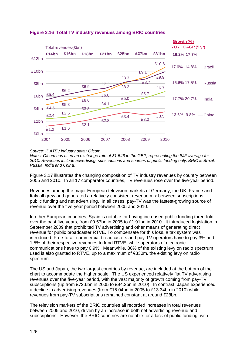

#### **Figure 3.16 Total TV industry revenues among BRIC countries**

#### *Source: IDATE / industry data / Ofcom.*

*Notes: Ofcom has used an exchange rate of \$1.546 to the GBP, representing the IMF average for 2010. Revenues include advertising, subscriptions and sources of public funding only. BRIC is Brazil, Russia, India and China.* 

[Figure 3.17](#page-18-1) illustrates the changing composition of TV industry revenues by country between 2005 and 2010. In all 17 comparator countries, TV revenues rose over the five-year period.

Revenues among the major European television markets of Germany, the UK, France and Italy all grew and generated a relatively consistent revenue mix between subscriptions, public funding and net advertising. In all cases, pay-TV was the fastest-growing source of revenue over the five-year period between 2005 and 2010.

In other European countries, Spain is notable for having increased public funding three-fold over the past five years, from £0.57bn in 2005 to £1.91bn in 2010. It introduced legislation in September 2009 that prohibited TV advertising and other means of generating direct revenue for public broadcaster RTVE. To compensate for this loss, a tax system was introduced. Free-to-air commercial broadcasters and pay-TV operators have to pay 3% and 1.5% of their respective revenues to fund RTVE, while operators of electronic communications have to pay 0.9%. Meanwhile, 80% of the existing levy on radio spectrum used is also granted to RTVE, up to a maximum of €330m. the existing levy on radio spectrum.

The US and Japan, the two largest countries by revenue, are included at the bottom of the chart to accommodate the higher scale. The US experienced relatively flat TV advertising revenues over the five-year period, with the vast majority of growth coming from pay-TV subscriptions (up from £72.6bn in 2005 to £94.2bn in 2010). In contrast, Japan experienced a decline in advertising revenues (from £15.04bn in 2005 to £13.34bn in 2010) while revenues from pay-TV subscriptions remained constant at around £28bn.

The television markets of the BRIC countries all recorded increases in total revenues between 2005 and 2010, driven by an increase in both net advertising revenue and subscriptions. However, the BRIC countries are notable for a lack of public funding, with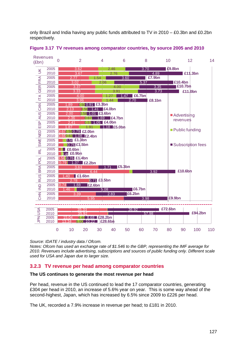only Brazil and India having any public funds attributed to TV in 2010 – £0.3bn and £0.2bn respectively.



<span id="page-18-1"></span>**Figure 3.17 TV revenues among comparator countries, by source 2005 and 2010**

*Source: IDATE / industry data / Ofcom.* 

*Notes: Ofcom has used an exchange rate of \$1.546 to the GBP, representing the IMF average for 2010. Revenues include advertising, subscriptions and sources of public funding only. Different scale used for USA and Japan due to larger size.* 

## <span id="page-18-0"></span>**3.2.3 TV revenue per head among comparator countries**

#### **The US continues to generate the most revenue per head**

Per head, revenue in the US continued to lead the 17 comparator countries, generating £304 per head in 2010, an increase of 5.6% year on year. This is some way ahead of the second-highest, Japan, which has increased by 6.5% since 2009 to £226 per head.

The UK, recorded a 7.9% increase in revenue per head; to £181 in 2010.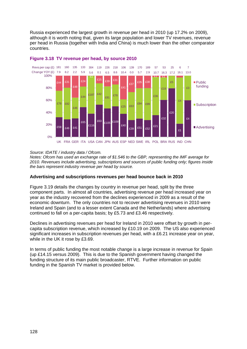Russia experienced the largest growth in revenue per head in 2010 (up 17.2% on 2009), although it is worth noting that, given its large population and lower TV revenues, revenue per head in Russia (together with India and China) is much lower than the other comparator countries.



#### **Figure 3.18 TV revenue per head, by source 2010**

#### *Source: IDATE / industry data / Ofcom.*

*Notes: Ofcom has used an exchange rate of \$1.546 to the GBP, representing the IMF average for 2010. Revenues include advertising, subscriptions and sources of public funding only; figures inside the bars represent industry revenue per head by source.* 

#### **Advertising and subscriptions revenues per head bounce back in 2010**

[Figure 3.19](#page-20-1) details the changes by country in revenue per head, split by the three component parts. In almost all countries, advertising revenue per head increased year on year as the industry recovered from the declines experienced in 2009 as a result of the economic downturn. The only countries not to recover advertising revenues in 2010 were Ireland and Spain (and to a lesser extent Canada and the Netherlands) where advertising continued to fall on a per-capita basis; by £5.73 and £3.46 respectively.

Declines in advertising revenues per head for Ireland in 2010 were offset by growth in percapita subscription revenue, which increased by £10.19 on 2009. The US also experienced significant increases in subscription revenues per head, with a £6.21 increase year on year, while in the UK it rose by £3.69.

In terms of public funding the most notable change is a large increase in revenue for Spain (up £14.15 versus 2009). This is due to the Spanish government having changed the funding structure of its main public broadcaster, RTVE. Further information on public funding in the Spanish TV market is provided below.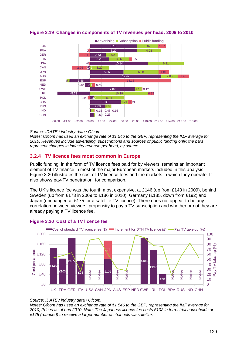

<span id="page-20-1"></span>

#### *Source: IDATE / industry data / Ofcom.*

*Notes: Ofcom has used an exchange rate of \$1.546 to the GBP, representing the IMF average for 2010. Revenues include advertising, subscriptions and sources of public funding only; the bars represent changes in industry revenue per head, by source.* 

## <span id="page-20-0"></span>**3.2.4 TV licence fees most common in Europe**

Public funding, in the form of TV licence fees paid for by viewers, remains an important element of TV finance in most of the major European markets included in this analysis. [Figure 3.20](#page-20-2) illustrates the cost of TV licence fees and the markets in which they operate. It also shows pay-TV penetration, for comparison.

The UK's licence fee was the fourth most expensive, at £146 (up from £143 in 2009), behind Sweden (up from £173 in 2009 to £186 in 2010), Germany (£185, down from £192) and Japan (unchanged at £175 for a satellite TV licence). There does not appear to be any correlation between viewers' propensity to pay a TV subscription and whether or not they are already paying a TV licence fee.



#### <span id="page-20-2"></span>**Figure 3.20 Cost of a TV licence fee**

#### *Source: IDATE / industry data / Ofcom.*

*Notes: Ofcom has used an exchange rate of \$1.546 to the GBP, representing the IMF average for 2010; Prices as of end 2010. Note: The Japanese licence fee costs £102 in terrestrial households or £175 (rounded) to receive a larger number of channels via satellite.*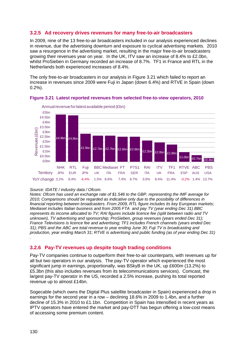## <span id="page-21-0"></span>**3.2.5 Ad recovery drives revenues for many free-to-air broadcasters**

In 2009, nine of the 13 free-to-air broadcasters included in our analysis experienced declines in revenue, due the advertising downturn and exposure to cyclical advertising markets. 2010 saw a resurgence in the advertising market, resulting in the major free-to-air broadcasters growing their revenues year on year. In the UK, ITV saw an increase of 8.4% to £2.0bn, whilst ProSieben in Germany recorded an increase of 8.7%. TF1 in France and RTL in the Netherlands both experienced increases of 8.4%.

The only free-to-air broadcasters in our analysis in [Figure 3.21](#page-21-2) which failed to report an increase in revenues since 2009 were Fuji in Japan (down 6.4%) and RTVE in Spain (down 0.2%).



<span id="page-21-2"></span>**Figure 3.21 Latest reported revenues from selected free-to-view operators, 2010**

#### *Source: IDATE / industry data / Ofcom.*

*Notes: Ofcom has used an exchange rate of \$1.546 to the GBP, representing the IMF average for 2010; Comparisons should be regarded as indicative only due to the possibility of differences in financial reporting between broadcasters. From 2009, RTL figure includes its key European markets; Mediaset includes Italian business and from 2005 FTA and pay TV (year ending Dec 31) BBC represents its income allocated to TV; RAI figures include licence fee (split between radio and TV unknown), TV advertising and sponsorship; ProSieben, group revenues (years ended Dec 31); France Televisions is licence fee and advertising; TF1 includes French channels (years ended Dec 31); PBS and the ABC are total revenue to year ending June 30; Fuji TV is broadcasting and production, year ending March 31; RTVE is advertising and public funding (as of year ending Dec 31)* 

## <span id="page-21-1"></span>**3.2.6 Pay-TV revenues up despite tough trading conditions**

Pay-TV companies continue to outperform their free-to-air counterparts, with revenues up for all but two operators in our analysis. The pay-TV operator which experienced the most significant jump in earnings, proportionally, was BSkyB in the UK, up £600m (13.2%) to £5.3bn (this also includes revenues from its telecommunications services). Comcast, the largest pay-TV operator in the US, recorded a 2.5% increase, pushing its total reported revenue up to almost £14bn.

Sogecable (which owns the Digital Plus satellite broadcaster in Spain) experienced a drop in earnings for the second year in a row – declining 18.6% in 2009 to 1.4bn, and a further decline of 15.3% in 2010 to £1.1bn. Competition in Spain has intensified in recent years as IPTV operators have entered the market and pay-DTT has begun offering a low-cost means of accessing some premium content.

*.*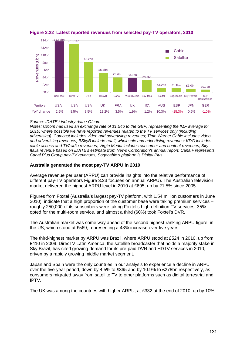

## **Figure 3.22 Latest reported revenues from selected pay-TV operators, 2010**

#### *Source: IDATE / industry data / Ofcom.*

*Notes: Ofcom has used an exchange rate of \$1.546 to the GBP, representing the IMF average for 2010; where possible we have reported revenues related to the TV services only (including advertising). Comcast includes video and advertising revenues; Time Warner Cable includes video and advertising revenues; BSkyB include retail, wholesale and advertising revenues; KDG includes cable access and TV/radio revenues; Virgin Media includes consumer and content revenues; Sky Italia revenue based on IDATE's estimate from News Corporation's annual report; Canal+ represents Canal Plus Group pay-TV revenues; Sogecable's platform is Digital Plus.* 

#### **Australia generated the most pay-TV ARPU in 2010**

Average revenue per user (ARPU) can provide insights into the relative performance of different pay-TV operators [Figure 3.23](#page-23-0) focuses on annual ARPU). The Australian television market delivered the highest ARPU level in 2010 at £695, up by 21.5% since 2005.

Figures from Foxtel (Australia's largest pay-TV platform, with 1.54 million customers in June 2010), indicate that a high proportion of the customer base were taking premium services – roughly 250,000 of its subscribers were taking Foxtel's high-definition TV services; 35% opted for the multi-room service, and almost a third (60%) took Foxtel's DVR.

The Australian market was some way ahead of the second highest-ranking ARPU figure, in the US, which stood at £569, representing a 43% increase over five years.

The third-highest market by ARPU was Brazil, where ARPU stood at £524 in 2010, up from £410 in 2009. DirecTV Latin America, the satellite broadcaster that holds a majority stake in Sky Brazil, has cited growing demand for its pre-paid DVR and HDTV services in 2010, driven by a rapidly growing middle market segment.

Japan and Spain were the only countries in our analysis to experience a decline in ARPU over the five-year period, down by 4.5% to £365 and by 10.9% to £278bn respectively, as consumers migrated away from satellite TV to other platforms such as digital terrestrial and IPTV.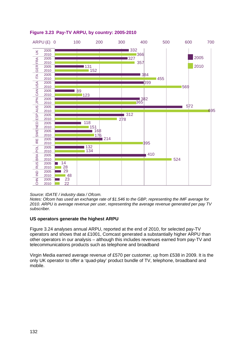

<span id="page-23-0"></span>

*Source: IDATE / industry data / Ofcom.* 

*Notes: Ofcom has used an exchange rate of \$1.546 to the GBP, representing the IMF average for 2010. ARPU is average revenue per user, representing the average revenue generated per pay TV subscriber.* 

#### **US operators generate the highest ARPU**

[Figure 3.24](#page-24-0) analyses annual ARPU, reported at the end of 2010, for selected pay-TV operators and shows that at £1001, Comcast generated a substantially higher ARPU than other operators in our analysis – although this includes revenues earned from pay-TV and telecommunications products such as telephone and broadband

Virgin Media earned average revenue of £570 per customer, up from £538 in 2009. It is the only UK operator to offer a 'quad-play' product bundle of TV, telephone, broadband and mobile.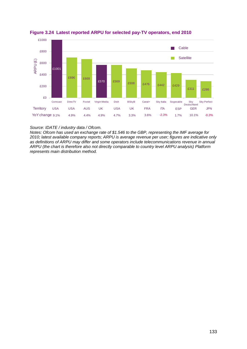

<span id="page-24-0"></span>**Figure 3.24 Latest reported ARPU for selected pay-TV operators, end 2010**

*Source: IDATE / industry data / Ofcom.* 

*Notes: Ofcom has used an exchange rate of \$1.546 to the GBP, representing the IMF average for 2010; latest available company reports; ARPU is average revenue per user; figures are indicative only as definitions of ARPU may differ and some operators include telecommunications revenue in annual ARPU (the chart is therefore also not directly comparable to country level ARPU analysis) Platform represents main distribution method.*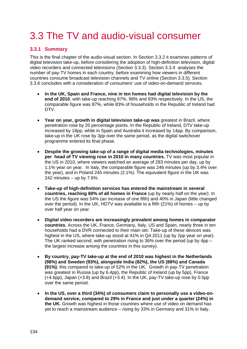# <span id="page-25-0"></span>3.3 The TV and audio-visual consumer

## <span id="page-25-1"></span>**3.3.1 Summary**

This is the final chapter of the audio-visual section. In Section [3.3.2](#page-26-0) it examines patterns of digital television take-up, before considering the adoption of high-definition television, digital video recorders and connected televisions (Section [3.3.3\)](#page-31-0). Section [3.3.4](#page-34-0) analyses the number of pay-TV homes in each country, before examining how viewers in different countries consume broadcast television channels and TV online (Section [3.3.5\)](#page-36-0). Section [3.3.6](#page-40-0) concludes with a consideration of consumers' use of video-on-demand services.

- **In the UK, Spain and France, nine in ten homes had digital television by the end of 2010**, with take-up reaching 97%, 98% and 93% respectively. In the US, the comparable figure was 87%, while 83% of households in the Republic of Ireland had DTV.
- **Year on year, growth in digital television take-up was** greatest in Brazil, where penetration rose by 20 percentage points. In the Republic of Ireland, DTV take-up increased by 18pp, while in Spain and Australia it increased by 14pp. By comparison, take-up in the UK rose by 3pp over the same period, as the digital switchover programme entered its final phase.
- **Despite the growing take-up of a range of digital media technologies, minutes per head of TV viewing rose in 2010 in many countries.** TV was most popular in the US in 2010, where viewers watched an average of 283 minutes per day, up by 1.1% year on year. In Italy, the comparable figure was 246 minutes (up by 3.4% over the year), and in Poland 245 minutes (2.1%). The equivalent figure in the UK was 242 minutes  $-$  up by 7.6%.
- **Take-up of high-definition services has entered the mainstream in several countries, reaching 60% of all homes in France** (up by nearly half on the year). In the US the figure was 54% (an increase of one fifth) and 40% in Japan (little changed over the period). In the UK, HDTV was available to a fifth (21%) of homes – up by over half year on year.
- **Digital video recorders are increasingly prevalent among homes in comparator countries**. Across the UK, France, Germany, Italy, US and Spain, nearly three in ten households had a DVR connected to their main set. Take-up of these devices was highest in the US, where take-up stood at 41% in Q4 2011 (up by 2pp year on year). The UK ranked second, with penetration rising to 36% over the period (up by  $4$ pp – the largest increase among the countries in this survey).
- **By country, pay-TV take-up at the end of 2010 was highest in the Netherlands (98%) and Sweden (93%), alongside India (82%), the US (88%) and Canada (91%)**; this compared to take-up of 52% in the UK. Growth in pay-TV penetration was greatest in Russia (up by 6.4pp), the Republic of Ireland (up by 5pp), France (+4.6pp), Japan (+3.8) and Brazil (+3.4). In the UK, pay-TV take-up rose by 0.5pp over the same period.
- **In the US, over a third (34%) of consumers claim to personally use a video-ondemand service, compared to 29% in France and just under a quarter (24%) in the UK.** Growth was highest in those countries where use of video on demand has yet to reach a mainstream audience – rising by 33% in Germany and 31% in Italy.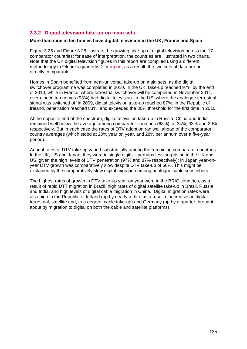## <span id="page-26-0"></span>**3.3.2 Digital television take-up on main sets**

#### **More than nine in ten homes have digital television in the UK, France and Spain**

[Figure 3.25](#page-27-0) and [Figure 3.26](#page-27-1) illustrate the growing take-up of digital television across the 17 comparator countries; for ease of interpretation, the countries are illustrated in two charts. Note that the UK digital television figures in this report are compiled using a different methodology to Ofcom's quarterly DTV [report;](http://stakeholders.ofcom.org.uk/market-data-research/tv-research/dtv/) as a result, the two sets of data are not directly comparable.

Homes in Spain benefited from near-universal take-up on main sets, as the digital switchover programme was completed in 2010. In the UK, take-up reached 97% by the end of 2010, while in France, where terrestrial switchover will be completed in November 2011, over nine in ten homes (93%) had digital television. In the US, where the analogue terrestrial signal was switched off in 2009, digital television take-up reached 87%; in the Republic of Ireland, penetration reached 83%, and exceeded the 80% threshold for the first time in 2010.

At the opposite end of the spectrum, digital television take-up in Russia, China and India remained well below the average among comparator countries (68%), at 34%, 33% and 29% respectively. But in each case the rates of DTV adoption ran well ahead of the comparator country averages (which stood at 20% year on year, and 28% per annum over a five-year period).

Annual rates of DTV take-up varied substantially among the remaining comparator countries. In the UK, US and Japan, they were in single digits – perhaps less surprising in the UK and US, given the high levels of DTV penetration (97% and 87% respectively); in Japan year-onyear DTV growth was comparatively slow despite DTV take-up of 66%. This might be explained by the comparatively slow digital migration among analogue cable subscribers.

The highest rates of growth in DTV take-up year on year were in the BRIC countries, as a result of rapid DTT migration in Brazil, high rates of digital satellite take-up in Brazil, Russia and India, and high levels of digital cable migration in China. Digital migration rates were also high in the Republic of Ireland (up by nearly a third as a result of increases in digital terrestrial, satellite and, to a degree, cable take-up) and Germany (up by a quarter, brought about by migration to digital on both the cable and satellite platforms)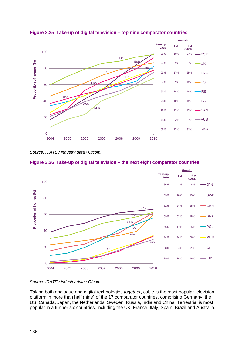

<span id="page-27-0"></span>**Figure 3.25 Take-up of digital television – top nine comparator countries** 

*Source: IDATE / industry data / Ofcom.*

<span id="page-27-1"></span>



*Source: IDATE / industry data / Ofcom.*

Taking both analogue and digital technologies *together*, cable is the most popular television platform in more than half (nine) of the 17 comparator countries, comprising Germany, the US, Canada, Japan, the Netherlands, Sweden, Russia, India and China. Terrestrial is most popular in a further six countries, including the UK, France, Italy, Spain, Brazil and Australia.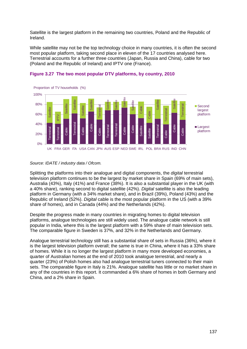Satellite is the largest platform in the remaining two countries, Poland and the Republic of Ireland.

While satellite may not be the top technology choice in many countries, it is often the second most popular platform, taking second place in eleven of the 17 countries analysed here. Terrestrial accounts for a further three countries (Japan, Russia and China), cable for two (Poland and the Republic of Ireland) and IPTV one (France).



#### **Figure 3.27 The two most popular DTV platforms, by country, 2010**

#### *Source: IDATE / industry data / Ofcom.*

Splitting the platforms into their analogue and digital components, the *digital* terrestrial television platform continues to be the largest by market share in Spain (69% of main sets), Australia (43%), Italy (41%) and France (38%). It is also a substantial player in the UK (with a 40% share), ranking second to digital satellite (42%). *Digital* satellite is also the leading platform in Germany (with a 34% market share), and in Brazil (39%), Poland (43%) and the Republic of Ireland (52%). *Digital* cable is the most popular platform in the US (with a 39% share of homes), and in Canada (44%) and the Netherlands (42%).

Despite the progress made in many countries in migrating homes to digital television platforms, analogue technologies are still widely used. The analogue cable network is still popular in India, where this is the largest platform with a 59% share of main television sets. The comparable figure in Sweden is 37%, and 32% in the Netherlands and Germany.

Analogue terrestrial technology still has a substantial share of sets in Russia (36%), where it is the largest television platform overall; the same is true in China, where it has a 33% share of homes. While it is no longer the largest platform in many more developed economies, a quarter of Australian homes at the end of 2010 took analogue terrestrial, and nearly a quarter (23%) of Polish homes also had analogue terrestrial tuners connected to their main sets. The comparable figure in Italy is 21%. Analogue satellite has little or no market share in any of the countries in this report. It commanded a 6% share of homes in both Germany and  $20%$ <br>  $20%$ <br>  $20%$ <br>  $20%$ <br>  $20%$ <br>  $20%$ <br>  $20%$ <br>  $20%$ <br>  $20%$ <br>  $20%$ <br>  $20%$ <br>  $20%$ <br>  $20%$ <br>  $20%$ <br>  $20%$ <br>  $20%$ <br>  $20%$ <br>  $20%$ <br>  $20%$ <br>  $20%$ <br>  $20%$ <br>  $20%$ <br>  $20%$ <br>  $20%$ <br>  $20%$ <br>  $20%$ <br>  $20%$ <br>  $20%$ <br>  $20%$ <br>  $20%$ <br>  $20%$ <br>  $20%$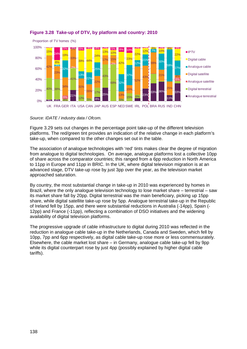

## **Figure 3.28 Take-up of DTV, by platform and country: 2010**

*Source: IDATE / industry data / Ofcom.*

[Figure 3.29](#page-30-0) sets out changes in the percentage point take-up of the different television platforms. The red/green tint provides an indication of the relative change in each platform's take-up, when compared to the other changes set out in the table.

The association of analogue technologies with 'red' tints makes clear the degree of migration from analogue to digital technologies. On average, analogue platforms lost a collective 10pp of share across the comparator countries; this ranged from a 6pp reduction in North America to 11pp in Europe and 11pp in BRIC. In the UK, where digital television migration is at an advanced stage, DTV take-up rose by just 3pp over the year, as the television market approached saturation.

By country, the most substantial change in take-up in 2010 was experienced by homes in Brazil, where the only analogue television technology to lose market share – terrestrial – saw its market share fall by 20pp. Digital terrestrial was the main beneficiary, picking up 15pp share, while digital satellite take-up rose by 5pp. Analogue terrestrial take-up in the Republic of Ireland fell by 15pp, and there were substantial reductions in Australia (-14pp), Spain (- 12pp) and France (-11pp), reflecting a combination of DSO initiatives and the widening availability of digital television platforms.

The progressive upgrade of cable infrastructure to digital during 2010 was reflected in the reduction in analogue cable take-up in the Netherlands, Canada and Sweden, which fell by 10pp, 7pp and 6pp respectively, as digital cable take-up rose more or less commensurately. Elsewhere, the cable market lost share – in Germany, analogue cable take-up fell by 9pp while its digital counterpart rose by just 4pp (possibly explained by higher digital cable tariffs).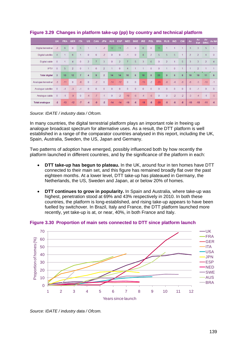|                       | <b>UK</b>      | <b>FRA</b> | <b>GER</b>     | <b>ITA</b>     | <b>US</b>            | CAN            | <b>JPN</b>     | <b>AUS</b>           | <b>ESP</b>     | <b>NED</b>     | <b>SWE</b>   | <b>IRE</b>     | <b>POL</b>     | <b>BRA</b>   | <b>RUS</b>     | <b>IND</b>     | <b>CHI</b>           | Av             | Av<br>Eur      | Av<br><b>BRIC</b> | Av NA          |
|-----------------------|----------------|------------|----------------|----------------|----------------------|----------------|----------------|----------------------|----------------|----------------|--------------|----------------|----------------|--------------|----------------|----------------|----------------------|----------------|----------------|-------------------|----------------|
| Digital terrestrial   | $-2$           | 6          | $\overline{0}$ | 5              | и                    | $\overline{1}$ | $-2$           | 12                   | 11             | $-1$           | $\mathbf{0}$ | $6\phantom{1}$ | $\overline{0}$ | 15           | 1              |                | $\overline{1}$       | 3              | 3              | 5                 |                |
| Digital satellite     | $\overline{4}$ |            | 6              | 1              | $\mathbf{0}$         | $\mathbf{0}$   | $-2$           | $\mathbf{0}$         | $\mathbf{0}$   | $-1$           | $\mathbf{0}$ | 8              | $\overline{2}$ | 5            | $\overline{5}$ | 5              | $\overline{1}$       | $\overline{2}$ | $\overline{2}$ | 4                 | $\overline{0}$ |
| Digital cable         | $\overline{0}$ |            | 4              | $\mathbf{0}$   | $\overline{2}$       | $\overline{7}$ | 3              | $\overline{0}$       | 2              |                | 5            | 3              | 6              | $\Omega$     | $\overline{2}$ | $\overline{1}$ | 5                    | 3              | 3              | $\overline{2}$    | $\overline{4}$ |
| <b>IPTV</b>           | $\overline{0}$ | 5          | $\overline{2}$ | $\mathbf{0}$   | $\blacktriangleleft$ | $\overline{0}$ | $\overline{2}$ | $\blacktriangleleft$ | $\overline{0}$ | $\overline{4}$ |              |                | $\overline{0}$ | $\mathbf{0}$ | 1              | $\mathbf{0}$   | $\blacktriangleleft$ |                | $\overline{2}$ |                   |                |
| <b>Total digital</b>  | $\overline{3}$ | 13         | 12             | $\overline{7}$ | $\overline{4}$       | 9              | $\overline{2}$ | 14                   | 14             | 10             | 6            | 18             | 8              | 20           | 9              | 6              | 8                    | 10             | 10             | 11                | 6              |
| Analogue terrestrial  | $-3$           | $-11$      | $\mathbf{0}$   | $-6$           | $\mathbf{0}$         | $-2$           | $\mathbf{0}$   | $-14$                | $-12$          | $\mathbf{0}$   | $\mathbf{0}$ | $-15$          | $-2$           | $-20$        | $-8$           | $-4$           | $-6$                 | $-6$           | $-5$           | $-10$             | $-1$           |
| Analogue satellite    | $\overline{0}$ | $-1$       | $-3$           | $-1$           | $\overline{0}$       | $\overline{0}$ | $\overline{0}$ | $\mathbf{0}$         | $\overline{0}$ | $\overline{0}$ | $\mathbf{0}$ | $\overline{0}$ | $\overline{0}$ | $\mathbf{0}$ | $\overline{0}$ | $\mathbf{0}$   | $\theta$             | $\overline{0}$ | $-1$           | $\overline{0}$    | $\Omega$       |
| Analogue cable        | $\overline{0}$ | $-1$       | $-9$           | $\overline{0}$ | $-4$                 | $-7$           | $-1$           | $\mathbf{0}$         | $-2$           | $-10$          | $-6$         | $-4$           | $-6$           | $\mathbf{0}$ | $\mathbf{0}$   | $-2$           | $-2$                 | $-3$           | $-4$           | $-1$              | $-5$           |
| <b>Total analoque</b> | $-3$           | $-13$      | $-12$          | $-7$           | $-4$                 | $-9$           | $-2$           | $-14$                | $-14$          | $-10$          | $-6$         | $-18$          | $-8$           | $-20$        | $-9$           | $-6$           | $-8$                 | $-10$          | $-10$          | $-11$             | $-6$           |

<span id="page-30-0"></span>**Figure 3.29 Changes in platform take-up (pp) by country and technical platform**

*Source: IDATE / industry data / Ofcom.*

In many countries, the digital terrestrial platform plays an important role in freeing up analogue broadcast spectrum for alternative uses. As a result, the DTT platform is well established in a range of the comparator countries analysed in this report, including the UK, Spain, Australia, Sweden, the US, Japan and Germany.

Two patterns of adoption have emerged, possibly influenced both by how recently the platform launched in different countries, and by the significance of the platform in each:

- **DTT take-up has begun to plateau.** In the UK, around four in ten homes have DTT connected to their main set, and this figure has remained broadly flat over the past eighteen months. At a lower level, DTT take-up has plateaued in Germany, the Netherlands, the US, Sweden and Japan, at or below 20% of homes.
- **DTT continues to grow in popularity.** In Spain and Australia, where take-up was highest, penetration stood at 69% and 43% respectively in 2010. In both these countries, the platform is long-established, and rising take-up appears to have been fuelled by switchover. In Brazil, Italy and France, the DTT platform launched more recently, yet take-up is at, or near, 40%, in both France and Italy.



**Figure 3.30 Proportion of main sets connected to DTT since platform launch** 

*Source: IDATE / industry data / Ofcom.*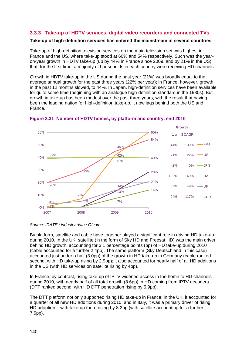## <span id="page-31-0"></span>**3.3.3 Take-up of HDTV services, digital video recorders and connected TVs**

#### **Take-up of high-definition services has entered the mainstream in several countries**

Take-up of high-definition television services on the main television set was highest in France and the US, where take-up stood at 60% and 54% respectively. Such was the yearon-year growth in HDTV take-up (up by 44% in France since 2009, and by 21% in the US) that, for the first time, a majority of households in each country were receiving HD channels.

Growth in HDTV take-up in the US during the past year (21%) was broadly equal to the average annual growth for the past three years (22% per year); in France, however, growth in the past 12 months slowed, to 44%. In Japan, high-definition services have been available for quite some time (beginning with an analogue high-definition standard in the 1980s). But growth in take-up has been modest over the past three years, with the result that having been the leading nation for high-definition take-up, it now lags behind both the US and France.



**Figure 3.31 Number of HDTV homes, by platform and country, end 2010**

*Source: IDATE / industry data / Ofcom.*

By platform, satellite and cable have together played a significant role in driving HD take-up during 2010. In the UK, satellite (in the form of Sky HD and Freesat HD) was the main driver behind HD growth, accounting for 3.1 percentage points (pp) of HD take-up during 2010 (cable accounted for a further 2.4pp). The same platform (Sky Deutschland in this case) accounted just under a half (3.0pp) of the growth in HD take-up in Germany (cable ranked second, with HD take-up rising by 2.9pp); it also accounted for nearly half of all HD additions in the US (with HD services on satellite rising by 4pp).

In France, by contrast, rising take-up of IPTV widened access in the home to HD channels during 2010, with nearly half of all total growth (8.6pp) in HD coming from IPTV decoders (DTT ranked second, with HD DTT penetration rising by 5.9pp).

The DTT platform not only supported rising HD take-up in France; in the UK, it accounted for a quarter of all new HD additions during 2010, and in Italy, it was a primary driver of rising HD adoption – with take-up there rising by 8.2pp (with satellite accounting for a further 7.5pp).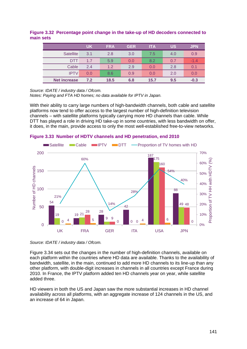#### **Figure 3.32 Percentage point change in the take-up of HD decoders connected to main sets**

|                     | <b>UK</b> | <b>FRA</b> | <b>GER</b> | <b>ITA</b> | <b>US</b> | <b>JPN</b> |
|---------------------|-----------|------------|------------|------------|-----------|------------|
| <b>Satellite</b>    | 3.1       | 2.8        | 3.0        | 7.5        | 4.0       | 0.9        |
| DTT                 | 1.7       | 5.9        | 0.0        | 8.2        | 0.7       | $-1.4$     |
| Cable               | 2.4       | 1.2        | 2.9        | 0.0        | 2.8       | 0.1        |
| <b>IPTV</b>         | 0.0       | 8.6        | 0.9        | 0.0        | 2.0       | 0.0        |
| <b>Net increase</b> | 7.2       | 18.5       | 6.8        | 15.7       | 9.5       | $-0.3$     |

*Source: IDATE / industry data / Ofcom.* 

*Notes: Paying and FTA HD homes; no data available for IPTV in Japan.*

With their ability to carry large numbers of high-bandwidth channels, both cable and satellite platforms now tend to offer access to the largest number of high-definition television channels – with satellite platforms typically carrying more HD channels than cable. While DTT has played a role in driving HD take-up in some countries, with less bandwidth on offer, it does, in the main, provide access to only the most well-established free-to-view networks.



**Figure 3.33 Number of HDTV channels and HD penetration, end 2010**

[Figure 3.34](#page-33-0) sets out the changes in the number of high-definition channels, available on each platform within the countries where HD data are available. Thanks to the availability of bandwidth, satellite, in the main, continued to add more HD channels to its line-up than any other platform, with double-digit increases in channels in all countries except France during 2010. In France, the IPTV platform added ten HD channels year on year, while satellite added three.

HD viewers in both the US and Japan saw the more substantial increases in HD channel availability across all platforms, with an aggregate increase of 124 channels in the US, and an increase of 64 in Japan.

*Source: IDATE / industry data / Ofcom.*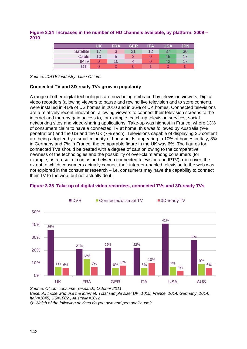#### <span id="page-33-0"></span>**Figure 3.34 Increases in the number of HD channels available, by platform: 2009 – 2010**

|                  | UK | <b>FRA</b> | GER        | <b>ITA</b> | USA | JPN |
|------------------|----|------------|------------|------------|-----|-----|
| <b>Satellite</b> | 17 | ∙<br>o     |            | ィっ         | 27  | 30  |
| Cable            | 10 | b          | $\sqrt{2}$ |            | 45  |     |
| <b>IPTV</b>      |    |            |            |            |     |     |
|                  |    |            |            |            |     |     |

*Source: IDATE / industry data / Ofcom.*

#### **Connected TV and 3D-ready TVs grow in popularity**

A range of other digital technologies are now being embraced by television viewers. Digital video recorders (allowing viewers to pause and rewind live television and to store content), were installed in 41% of US homes in 2010 and in 36% of UK homes. Connected televisions are a relatively recent innovation, allowing viewers to connect their television screens to the internet and thereby gain access to, for example, catch-up television services, social networking sites and video-sharing applications. Take-up was highest in France, where 13% of consumers claim to have a connected TV at home; this was followed by Australia (9% penetration) and the US and the UK (7% each). Televisions capable of displaying 3D content are being adopted by a small minority of households, appearing in 10% of homes in Italy, 8% in Germany and 7% in France; the comparable figure in the UK was 6%. The figures for connected TVs should be treated with a degree of caution owing to the comparative newness of the technologies and the possibility of over-claim among consumers (for example, as a result of confusion between connected television and IPTV); moreover, the extent to which consumers actually connect their internet-enabled television to the web was not explored in the consumer research – i.e. consumers may have the capability to connect their TV to the web, but not actually do it.



#### **Figure 3.35 Take-up of digital video recorders, connected TVs and 3D-ready TVs**

*Source: Ofcom consumer research, October 2011 Base: All those who use the internet. Total sample size: UK=1015, France=1014, Germany=1014, Italy=1045, US=1002,, Australia=1012* 

*Q: Which of the following devices do you own and personally use?*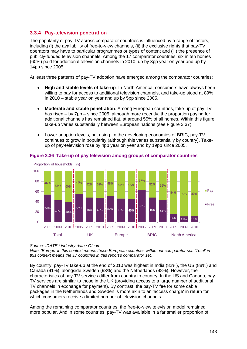## <span id="page-34-0"></span>**3.3.4 Pay-television penetration**

The popularity of pay-TV across comparator countries is influenced by a range of factors, including (i) the availability of free-to-view channels, (ii) the exclusive rights that pay-TV operators may have to particular programmes or types of content and (iii) the presence of publicly-funded television channels. Among the 17 comparator countries, six in ten homes (60%) paid for additional television channels in 2010, up by 3pp year on year and up by 14pp since 2005.

At least three patterns of pay-TV adoption have emerged among the comparator countries:

- **High and stable levels of take-up**. In North America, consumers have always been willing to pay for access to additional television channels, and take-up stood at 89% in 2010 – stable year on year and up by 5pp since 2005.
- **Moderate and stable penetration**. Among European countries, take-up of pay-TV has risen – by 7pp – since 2005, although more recently, the proportion paying for additional channels has remained flat, at around 55% of all homes. Within this figure, take-up varies substantially between European nations (see [Figure 3.37\)](#page-35-0).
- Lower adoption levels, but rising. In the developing economies of BRIC, pay-TV continues to grow in popularity (although this varies substantially by country). Takeup of pay-television rose by 4pp year on year and by 19pp since 2005.



#### **Figure 3.36 Take-up of pay television among groups of comparator countries**

#### *Source: IDATE / industry data / Ofcom.*

*Note: 'Europe' in this context means those European countries within our comparator set. 'Total' in this context means the 17 countries in this report's comparator set.* 

By country, pay-TV take-up at the end of 2010 was highest in India (82%), the US (88%) and Canada (91%), alongside Sweden (93%) and the Netherlands (98%). However, the characteristics of pay-TV services differ from country to country. In the US and Canada, pay-TV services are similar to those in the UK (providing access to a large number of additional TV channels in exchange for payment). By contrast, the pay-TV fee for some cable packages in the Netherlands and Sweden is more akin to an 'access charge' in return for which consumers receive a limited number of television channels.

Among the remaining comparator countries, the free-to-view television model remained more popular. And in some countries, pay-TV was available in a far smaller proportion of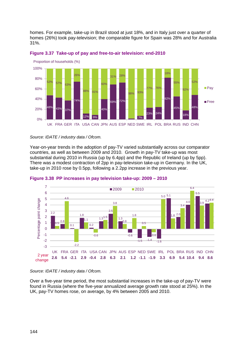homes. For example, take-up in Brazil stood at just 18%, and in Italy just over a quarter of homes (26%) took pay-television; the comparable figure for Spain was 28% and for Australia 31%.



<span id="page-35-0"></span>

#### *Source: IDATE / industry data / Ofcom.*

Year-on-year trends in the adoption of pay-TV varied substantially across our comparator countries, as well as between 2009 and 2010. Growth in pay-TV take-up was most substantial during 2010 in Russia (up by 6.4pp) and the Republic of Ireland (up by 5pp). There was a modest contraction of 2pp in pay-television take-up in Germany. In the UK, take-up in 2010 rose by 0.5pp, following a 2.2pp increase in the previous year.





#### *Source: IDATE / industry data / Ofcom.*

Over a five-year time period, the most substantial increases in the take-up of pay-TV were found in Russia (where the five-year annualized average growth rate stood at 25%). In the UK, pay-TV homes rose, on average, by 4% between 2005 and 2010.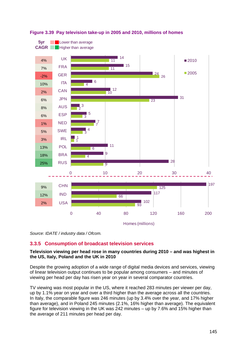



*Source: IDATE / industry data / Ofcom.*

## <span id="page-36-0"></span>**3.3.5 Consumption of broadcast television services**

## **Television viewing per head rose in many countries during 2010 – and was highest in the US, Italy, Poland and the UK in 2010**

Despite the growing adoption of a wide range of digital media devices and services, viewing of linear television output continues to be popular among consumers – and minutes of viewing per head per day has risen year on year in several comparator countries.

TV viewing was most popular in the US, where it reached 283 minutes per viewer per day, up by 1.1% year on year and over a third higher than the average across all the countries. In Italy, the comparable figure was 246 minutes (up by 3.4% over the year, and 17% higher than average), and in Poland 245 minutes (2.1%, 16% higher than average). The equivalent figure for television viewing in the UK was 242 minutes – up by 7.6% and 15% higher than the average of 211 minutes per head per day.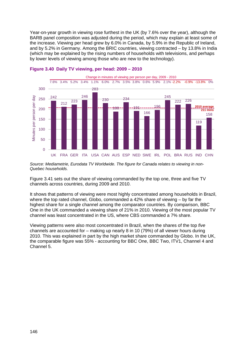Year-on-year growth in viewing rose furthest in the UK (by 7.6% over the year), although the BARB panel composition was adjusted during the period, which may explain at least some of the increase. Viewing per head grew by 6.0% in Canada, by 5.9% in the Republic of Ireland, and by 5.2% in Germany. Among the BRIC countries, viewing contracted – by 13.8% in India (which may be explained by the rising numbers of households with televisions, and perhaps by lower levels of viewing among those who are new to the technology).



#### **Figure 3.40 Daily TV viewing, per head: 2009 – 2010**

*Source: Mediametrie, Eurodata TV Worldwide. The figure for Canada relates to viewing in non-Quebec households.*

[Figure 3.41](#page-38-0) sets out the share of viewing commanded by the top one, three and five TV channels across countries, during 2009 and 2010.

It shows that patterns of viewing were most highly concentrated among households in Brazil, where the top rated channel, Globo, commanded a 42% share of viewing – by far the highest share for a single channel among the comparator countries. By comparison, BBC One in the UK commanded a viewing share of 21% in 2010. Viewing of the most popular TV channel was least concentrated in the US, where CBS commanded a 7% share.

Viewing patterns were also most concentrated in Brazil, when the shares of the top *five* channels are accounted for – making up nearly 8 in 10 (79%) of all viewer hours during 2010. This was explained in part by the high market share commanded by Globo. In the UK, the comparable figure was 55% - accounting for BBC One, BBC Two, ITV1, Channel 4 and Channel 5.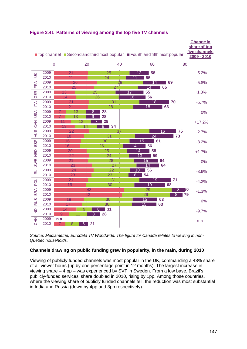

## <span id="page-38-0"></span>**Figure 3.41 Patterns of viewing among the top five TV channels**

*Source: Mediametrie, Eurodata TV Worldwide. The figure for Canada relates to viewing in non-Quebec households.*

## **Channels drawing on public funding grew in popularity, in the main, during 2010**

Viewing of publicly funded channels was most popular in the UK, commanding a 48% share of all viewer hours (up by one percentage point in 12 months). The largest increase in viewing share – 4 pp – was experienced by SVT in Sweden. From a low base, Brazil's publicly-funded services' share doubled in 2010, rising by 1pp. Among those countries, where the viewing share of publicly funded channels fell, the reduction was most substantial in India and Russia (down by 4pp and 3pp respectively).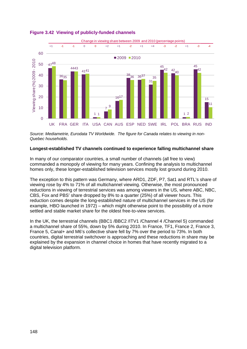

#### **Figure 3.42 Viewing of publicly-funded channels**

*Source: Mediametrie, Eurodata TV Worldwide. The figure for Canada relates to viewing in non-Quebec households.*

#### **Longest-established TV channels continued to experience falling multichannel share**

In many of our comparator countries, a small number of channels (all free to view) commanded a monopoly of viewing for many years. Confining the analysis to multichannel homes only, these longer-established television services mostly lost ground during 2010.

The exception to this pattern was Germany, where ARD1, ZDF, P7, Sat1 and RTL's share of viewing rose by 4% to 71% of all multichannel viewing. Otherwise, the most pronounced reductions in viewing of terrestrial services was among viewers in the US, where ABC, NBC, CBS, Fox and PBS' share dropped by 8% to a quarter (25%) of all viewer hours. This reduction comes despite the long-established nature of multichannel services in the US (for example, HBO launched in 1972) – which might otherwise point to the possibility of a more settled and stable market share for the oldest free-to-view services.

In the UK, the terrestrial channels (BBC1 /BBC2 /ITV1 /Channel 4 /Channel 5) commanded a multichannel share of 55%, down by 5% during 2010. In France, TF1, France 2, France 3, France 5, Canal+ and M6's collective share fell by 7% over the period to 73%. In both countries, digital terrestrial switchover is approaching and these reductions in share may be explained by the expansion in channel choice in homes that have recently migrated to a digital television platform.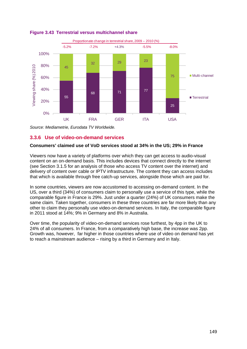

**Figure 3.43 Terrestrial versus multichannel share**

*Source: Mediametrie, Eurodata TV Worldwide.*

## <span id="page-40-0"></span>**3.3.6 Use of video-on-demand services**

#### **Consumers' claimed use of VoD services stood at 34% in the US; 29% in France**

Viewers now have a variety of platforms over which they can get access to audio-visual content on an on-demand basis. This includes devices that connect directly to the internet (see Section [3.1.5](#page-12-0) for an analysis of those who access TV content over the internet) and delivery of content over cable or IPTV infrastructure. The content they can access includes that which is available through free catch-up services, alongside those which are paid for.

In some countries, viewers are now accustomed to accessing on-demand content. In the US, over a third (34%) of consumers claim to personally use a service of this type, while the comparable figure in France is 29%. Just under a quarter (24%) of UK consumers make the same claim. Taken together, consumers in these three countries are far more likely than any other to claim they personally use video-on-demand services. In Italy, the comparable figure in 2011 stood at 14%; 9% in Germany and 8% in Australia.

Over time, the popularity of video-on-demand services rose furthest, by 4pp in the UK to 24% of all consumers. In France, from a comparatively high base, the increase was 2pp. Growth was, however, far higher in those countries where use of video on demand has yet to reach a mainstream audience – rising by a third in Germany and in Italy.